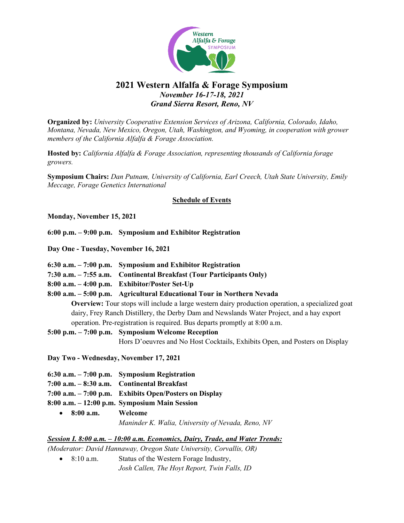

# **2021 Western Alfalfa & Forage Symposium** *November 16-17-18, 2021 Grand Sierra Resort, Reno, NV*

**Organized by:** *University Cooperative Extension Services of Arizona, California, Colorado, Idaho, Montana, Nevada, New Mexico, Oregon, Utah, Washington, and Wyoming, in cooperation with grower members of the California Alfalfa & Forage Association.*

**Hosted by:** *California Alfalfa & Forage Association, representing thousands of California forage growers.* 

**Symposium Chairs:** *Dan Putnam, University of California, Earl Creech, Utah State University, Emily Meccage, Forage Genetics International*

#### **Schedule of Events**

**Monday, November 15, 2021**

**6:00 p.m. – 9:00 p.m. Symposium and Exhibitor Registration**

**Day One - Tuesday, November 16, 2021**

- **6:30 a.m. – 7:00 p.m. Symposium and Exhibitor Registration**
- **7:30 a.m. – 7:55 a.m. Continental Breakfast (Tour Participants Only)**
- **8:00 a.m. – 4:00 p.m. Exhibitor/Poster Set-Up**

**8:00 a.m. – 5:00 p.m. Agricultural Educational Tour in Northern Nevada**

**Overview:** Tour stops will include a large western dairy production operation, a specialized goat dairy, Frey Ranch Distillery, the Derby Dam and Newslands Water Project, and a hay export operation. Pre-registration is required. Bus departs promptly at 8:00 a.m.

**5:00 p.m. – 7:00 p.m. Symposium Welcome Reception**  Hors D'oeuvres and No Host Cocktails, Exhibits Open, and Posters on Display

**Day Two - Wednesday, November 17, 2021**

- **6:30 a.m. – 7:00 p.m. Symposium Registration**
- **7:00 a.m. – 8:30 a.m. Continental Breakfast**
- **7:00 a.m. – 7:00 p.m. Exhibits Open/Posters on Display**
- **8:00 a.m. – 12:00 p.m. Symposium Main Session**
	- **8:00 a.m. Welcome** *Maninder K. Walia, University of Nevada, Reno, NV*

### *Session I. 8:00 a.m. – 10:00 a.m. Economics, Dairy, Trade, and Water Trends:*

*(Moderator: David Hannaway, Oregon State University, Corvallis, OR)*

• 8:10 a.m. Status of the Western Forage Industry, *Josh Callen, The Hoyt Report, Twin Falls, ID*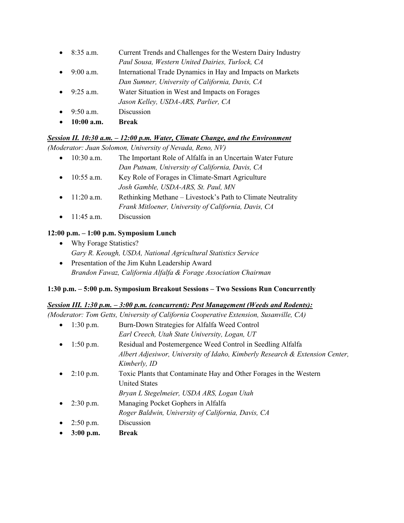- 8:35 a.m. Current Trends and Challenges for the Western Dairy Industry *Paul Sousa, Western United Dairies, Turlock, CA*
- 9:00 a.m. International Trade Dynamics in Hay and Impacts on Markets *Dan Sumner, University of California, Davis, CA*
- 9:25 a.m. Water Situation in West and Impacts on Forages
- *Jason Kelley, USDA-ARS, Parlier, CA*
- 9:50 a.m. Discussion
- **10:00 a.m. Break**

# *Session II. 10:30 a.m. – 12:00 p.m. Water, Climate Change, and the Environment*

*(Moderator: Juan Solomon, University of Nevada, Reno, NV)*

- 10:30 a.m. The Important Role of Alfalfa in an Uncertain Water Future *Dan Putnam, University of California, Davis, CA* 10:55 a.m. Key Role of Forages in Climate-Smart Agriculture *Josh Gamble, USDA-ARS, St. Paul, MN*
- 11:20 a.m. Rethinking Methane Livestock's Path to Climate Neutrality *Frank Mitloener, University of California, Davis, CA*
- 11:45 a.m. Discussion

# **12:00 p.m. – 1:00 p.m. Symposium Lunch**

- Why Forage Statistics? *Gary R. Keough, USDA, National Agricultural Statistics Service*
- Presentation of the Jim Kuhn Leadership Award *Brandon Fawaz, California Alfalfa & Forage Association Chairman*

# **1:30 p.m. – 5:00 p.m. Symposium Breakout Sessions – Two Sessions Run Concurrently**

# *Session III. 1:30 p.m. – 3:00 p.m. (concurrent): Pest Management (Weeds and Rodents):*

*(Moderator: Tom Getts, University of California Cooperative Extension, Susanville, CA)* 

| $\bullet$ | $1:30$ p.m. | Burn-Down Strategies for Alfalfa Weed Control                                |
|-----------|-------------|------------------------------------------------------------------------------|
|           |             | Earl Creech, Utah State University, Logan, UT                                |
| $\bullet$ | $1:50$ p.m. | Residual and Postemergence Weed Control in Seedling Alfalfa                  |
|           |             | Albert Adjesiwor, University of Idaho, Kimberly Research & Extension Center, |
|           |             | Kimberly, ID                                                                 |
| $\bullet$ | $2:10$ p.m. | Toxic Plants that Contaminate Hay and Other Forages in the Western           |
|           |             | <b>United States</b>                                                         |
|           |             | Bryan L Stegelmeier, USDA ARS, Logan Utah                                    |
| $\bullet$ | $2:30$ p.m. | Managing Pocket Gophers in Alfalfa                                           |
|           |             | Roger Baldwin, University of California, Davis, CA                           |
|           |             |                                                                              |

- 2:50 p.m. Discussion
- **3:00 p.m. Break**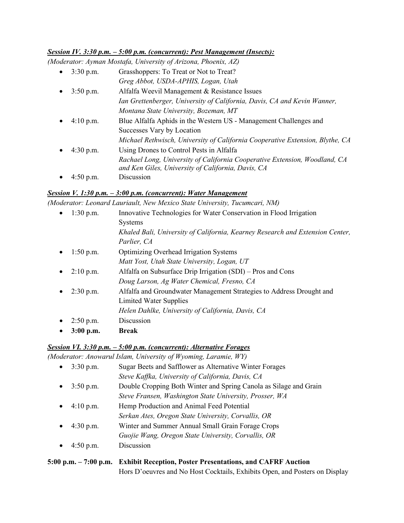### *Session IV. 3:30 p.m. – 5:00 p.m. (concurrent): Pest Management (Insects):*

*(Moderator: Ayman Mostafa, University of Arizona, Phoenix, AZ)*

| $\bullet$ | $3:30$ p.m. | Grasshoppers: To Treat or Not to Treat?                                       |
|-----------|-------------|-------------------------------------------------------------------------------|
|           |             | Greg Abbot, USDA-APHIS, Logan, Utah                                           |
| $\bullet$ | $3:50$ p.m. | Alfalfa Weevil Management & Resistance Issues                                 |
|           |             | Ian Grettenberger, University of California, Davis, CA and Kevin Wanner,      |
|           |             | Montana State University, Bozeman, MT                                         |
|           | $4:10$ p.m. | Blue Alfalfa Aphids in the Western US - Management Challenges and             |
|           |             | Successes Vary by Location                                                    |
|           |             | Michael Rethwisch, University of California Cooperative Extension, Blythe, CA |
|           | $4:30$ p.m. | Using Drones to Control Pests in Alfalfa                                      |
|           |             | Rachael Long, University of California Cooperative Extension, Woodland, CA    |
|           |             | and Ken Giles, University of California, Davis, CA                            |
|           | $4:50$ p.m. | Discussion                                                                    |

### *Session V. 1:30 p.m. – 3:00 p.m. (concurrent): Water Management*

*(Moderator: Leonard Lauriault, New Mexico State University, Tucumcari, NM)*

| $\bullet$ | $1:30$ p.m. | Innovative Technologies for Water Conservation in Flood Irrigation            |
|-----------|-------------|-------------------------------------------------------------------------------|
|           |             | Systems                                                                       |
|           |             | Khaled Bali, University of California, Kearney Research and Extension Center, |
|           |             | Parlier, CA                                                                   |
| $\bullet$ | $1:50$ p.m. | <b>Optimizing Overhead Irrigation Systems</b>                                 |
|           |             | Matt Yost, Utah State University, Logan, UT                                   |
| $\bullet$ | $2:10$ p.m. | Alfalfa on Subsurface Drip Irrigation (SDI) – Pros and Cons                   |
|           |             | Doug Larson, Ag Water Chemical, Fresno, CA                                    |
| $\bullet$ | $2:30$ p.m. | Alfalfa and Groundwater Management Strategies to Address Drought and          |
|           |             | Limited Water Supplies                                                        |
|           |             | Helen Dahlke, University of California, Davis, CA                             |
| $\bullet$ | $2:50$ p.m. | Discussion                                                                    |
| $\bullet$ | $3:00$ p.m. | <b>Break</b>                                                                  |

### *Session VI. 3:30 p.m. – 5:00 p.m. (concurrent): Alternative Forages*

*(Moderator: Anowarul Islam, University of Wyoming, Laramie, WY)*

| $\bullet$ | $3:30$ p.m.         | Sugar Beets and Safflower as Alternative Winter Forages           |
|-----------|---------------------|-------------------------------------------------------------------|
|           |                     | Steve Kaffka, University of California, Davis, CA                 |
| $\bullet$ | $3:50$ p.m.         | Double Cropping Both Winter and Spring Canola as Silage and Grain |
|           |                     | Steve Fransen, Washington State University, Prosser, WA           |
| $\bullet$ | $4:10 \text{ p.m.}$ | Hemp Production and Animal Feed Potential                         |
|           |                     | Serkan Ates, Oregon State University, Corvallis, OR               |
| $\bullet$ | $4:30$ p.m.         | Winter and Summer Annual Small Grain Forage Crops                 |
|           |                     | Guojie Wang, Oregon State University, Corvallis, OR               |
| $\bullet$ | $4:50$ p.m.         | Discussion                                                        |
|           |                     |                                                                   |

### **5:00 p.m. – 7:00 p.m. Exhibit Reception, Poster Presentations, and CAFRF Auction** Hors D'oeuvres and No Host Cocktails, Exhibits Open, and Posters on Display